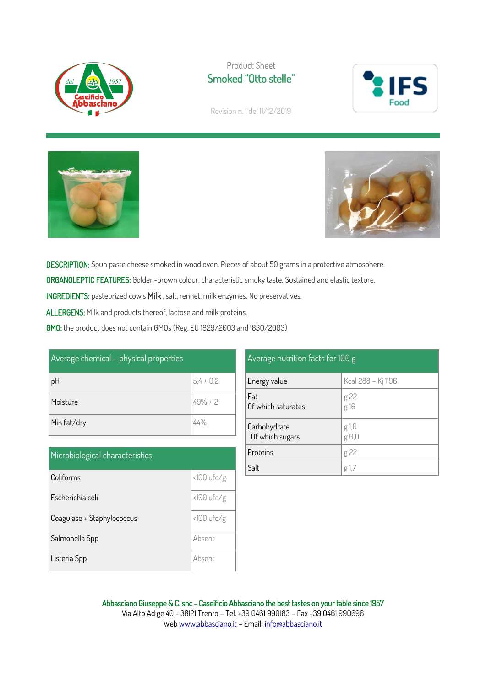

## Product Sheet Smoked "Otto stelle"



Revision n. 1 del 11/12/2019





DESCRIPTION: Spun paste cheese smoked in wood oven. Pieces of about 50 grams in a protective atmosphere. ORGANOLEPTIC FEATURES: Golden-brown colour, characteristic smoky taste. Sustained and elastic texture. INGREDIENTS: pasteurized cow's Milk , salt, rennet, milk enzymes. No preservatives. ALLERGENS: Milk and products thereof, lactose and milk proteins.

GMO: the product does not contain GMOs (Reg. EU 1829/2003 and 1830/2003)

| Average chemical - physical properties |               |  |
|----------------------------------------|---------------|--|
| pH                                     | $5,4 \pm 0,2$ |  |
| Moisture                               | $49\% \pm 2$  |  |
| Min fat/dry                            | $44\%$        |  |

| Microbiological characteristics |              |
|---------------------------------|--------------|
| Coliforms                       | $<100$ ufc/g |
| Escherichia coli                | $<100$ ufc/g |
| Coagulase + Staphylococcus      | $<100$ ufc/g |
| Salmonella Spp                  | Absent       |
| Listeria Spp                    | Ahsent       |

## Average nutrition facts for 100 g Energy value  $\kappa$  Kcal 288 – Kj 1196 Fat Of which saturates g 22 g 16 Carbohydrate Of which sugars g 1,0 g 0,0 **Proteins**  $\log 22$

Salt  $\left| \begin{array}{c} g \end{array} \right|$  1,7

Abbasciano Giuseppe & C. snc - Caseificio Abbasciano the best tastes on your table since 1957 Via Alto Adige 40 - 38121 Trento – Tel. +39 0461 990183 – Fax +39 0461 990696 We[b www.abbasciano.it](http://www.abbasciano.it/) – Email[: info@abbasciano.it](mailto:info@abbasciano.it)